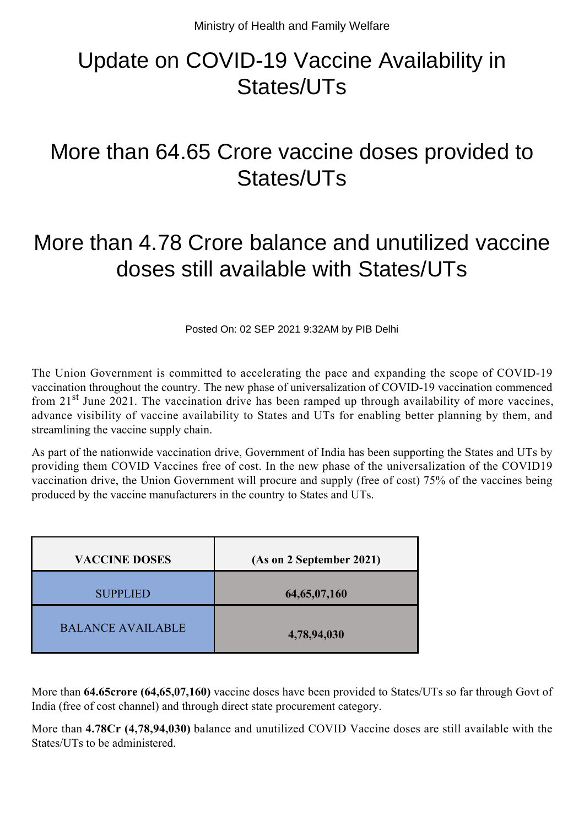# Update on COVID-19 Vaccine Availability in States/UTs

## More than 64.65 Crore vaccine doses provided to States/UTs

## More than 4.78 Crore balance and unutilized vaccine doses still available with States/UTs

Posted On: 02 SEP 2021 9:32AM by PIB Delhi

The Union Government is committed to accelerating the pace and expanding the scope of COVID-19 vaccination throughout the country. The new phase of universalization of COVID-19 vaccination commenced from  $21<sup>st</sup>$  June 2021. The vaccination drive has been ramped up through availability of more vaccines, advance visibility of vaccine availability to States and UTs for enabling better planning by them, and streamlining the vaccine supply chain.

As part of the nationwide vaccination drive, Government of India has been supporting the States and UTs by providing them COVID Vaccines free of cost. In the new phase of the universalization of the COVID19 vaccination drive, the Union Government will procure and supply (free of cost) 75% of the vaccines being produced by the vaccine manufacturers in the country to States and UTs.

| <b>VACCINE DOSES</b>     | (As on 2 September 2021) |
|--------------------------|--------------------------|
| <b>SUPPLIED</b>          | 64, 65, 07, 160          |
| <b>BALANCE AVAILABLE</b> | 4,78,94,030              |

More than **64.65crore (64,65,07,160)** vaccine doses have been provided to States/UTs so far through Govt of India (free of cost channel) and through direct state procurement category.

More than **4.78Cr (4,78,94,030)** balance and unutilized COVID Vaccine doses are still available with the States/UTs to be administered.